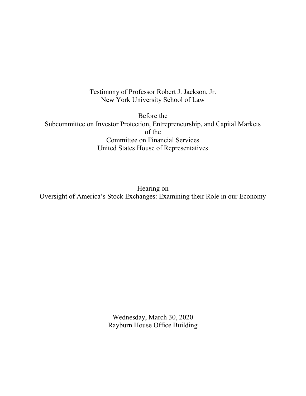Testimony of Professor Robert J. Jackson, Jr. New York University School of Law

Before the Subcommittee on Investor Protection, Entrepreneurship, and Capital Markets of the Committee on Financial Services United States House of Representatives

Hearing on Oversight of America's Stock Exchanges: Examining their Role in our Economy

> Wednesday, March 30, 2020 Rayburn House Office Building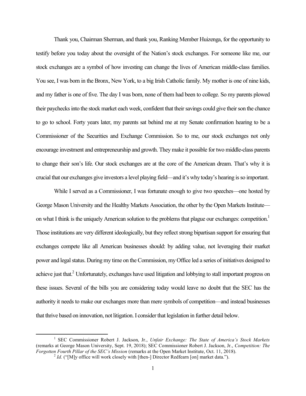Thank you, Chairman Sherman, and thank you, Ranking Member Huizenga, for the opportunity to testify before you today about the oversight of the Nation's stock exchanges. For someone like me, our stock exchanges are a symbol of how investing can change the lives of American middle-class families. You see, I was born in the Bronx, New York, to a big Irish Catholic family. My mother is one of nine kids, and my father is one of five. The day I was born, none of them had been to college. So my parents plowed their paychecks into the stock market each week, confident that their savings could give their son the chance to go to school. Forty years later, my parents sat behind me at my Senate confirmation hearing to be a Commissioner of the Securities and Exchange Commission. So to me, our stock exchanges not only encourage investment and entrepreneurship and growth. They make it possible for two middle-class parents to change their son's life. Our stock exchanges are at the core of the American dream. That's why it is crucial that our exchanges give investors a level playing field—and it's why today's hearing is so important.

While I served as a Commissioner, I was fortunate enough to give two speeches—one hosted by George Mason University and the Healthy Markets Association, the other by the Open Markets Institute on what I think is the uniquely American solution to the problems that plague our exchanges: competition.<sup>1</sup> Those institutions are very different ideologically, but they reflect strong bipartisan support for ensuring that exchanges compete like all American businesses should: by adding value, not leveraging their market power and legal status. During my time on the Commission, my Office led a series of initiatives designed to achieve just that.<sup>2</sup> Unfortunately, exchanges have used litigation and lobbying to stall important progress on these issues. Several of the bills you are considering today would leave no doubt that the SEC has the authority it needs to make our exchanges more than mere symbols of competition—and instead businesses that thrive based on innovation, not litigation. I consider that legislation in further detail below.

<sup>&</sup>lt;sup>1</sup> SEC Commissioner Robert J. Jackson, Jr., Unfair Exchange: The State of America's Stock Markets (remarks at George Mason University, Sept. 19, 2018); SEC Commissioner Robert J. Jackson, Jr., Competition: The Forgotten Fourth Pillar of the SEC's Mission (remarks at the Open Market Institute, Oct. 11, 2018).

 $^{2}$  *Id.* ("[M]y office will work closely with [then-] Director Redfearn [on] market data.").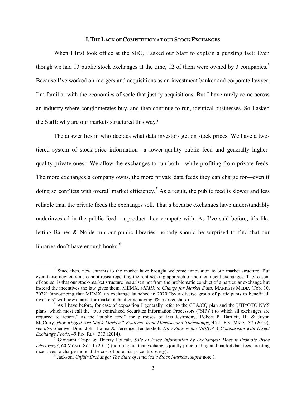## I.THE LACK OF COMPETITION AT OUR STOCK EXCHANGES

When I first took office at the SEC, I asked our Staff to explain a puzzling fact: Even though we had 13 public stock exchanges at the time, 12 of them were owned by 3 companies.<sup>3</sup> Because I've worked on mergers and acquisitions as an investment banker and corporate lawyer, I'm familiar with the economies of scale that justify acquisitions. But I have rarely come across an industry where conglomerates buy, and then continue to run, identical businesses. So I asked the Staff: why are our markets structured this way?

 The answer lies in who decides what data investors get on stock prices. We have a twotiered system of stock-price information—a lower-quality public feed and generally higherquality private ones.<sup>4</sup> We allow the exchanges to run both—while profiting from private feeds. The more exchanges a company owns, the more private data feeds they can charge for—even if doing so conflicts with overall market efficiency.<sup>5</sup> As a result, the public feed is slower and less reliable than the private feeds the exchanges sell. That's because exchanges have understandably underinvested in the public feed—a product they compete with. As I've said before, it's like letting Barnes & Noble run our public libraries: nobody should be surprised to find that our libraries don't have enough books.<sup>6</sup>

 $3$  Since then, new entrants to the market have brought welcome innovation to our market structure. But even those new entrants cannot resist repeating the rent-seeking approach of the incumbent exchanges. The reason, of course, is that our stock-market structure has arisen not from the problematic conduct of a particular exchange but instead the incentives the law gives them. MEMX, MEMX to Charge for Market Data, MARKETS MEDIA (Feb. 10, 2022) (announcing that MEMX, an exchange launched in 2020 "by a diverse group of participants to benefit all investors" will now charge for market data after achieving 4% market share).

<sup>&</sup>lt;sup>4</sup> As I have before, for ease of exposition I generally refer to the CTA/CQ plan and the UTP/OTC NMS plans, which most call the "two centralized Securities Information Processors ("SIPs") to which all exchanges are required to report," as the "public feed" for purposes of this testimony. Robert P. Bartlett, III & Justin McCrary, How Rigged Are Stock Markets? Evidence from Microsecond Timestamps, 45 J. FIN. MKTS. 37 (2019); see also Shenwei Ding, John Hanna & Terrence Hendershott, How Slow is the NBBO? A Comparison with Direct Exchange Feeds, 49 FIN. REV. 313 (2014).

<sup>&</sup>lt;sup>5</sup> Giovanni Cespa & Thierry Foucalt, Sale of Price Information by Exchanges: Does it Promote Price Discovery?, 60 MGMT. SCI. 1 (2014) (pointing out that exchanges jointly price trading and market data fees, creating incentives to charge more at the cost of potential price discovery).

 $^6$  Jackson, Unfair Exchange: The State of America's Stock Markets, supra note 1.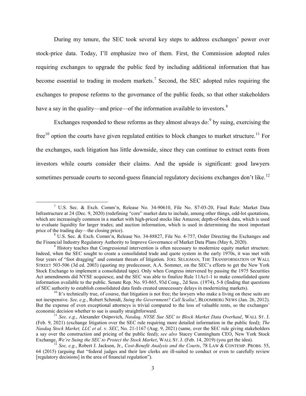During my tenure, the SEC took several key steps to address exchanges' power over stock-price data. Today, I'll emphasize two of them. First, the Commission adopted rules requiring exchanges to upgrade the public feed by including additional information that has become essential to trading in modern markets.<sup>7</sup> Second, the SEC adopted rules requiring the exchanges to propose reforms to the governance of the public feeds, so that other stakeholders have a say in the quality—and price—of the information available to investors. $8<sup>8</sup>$ 

Exchanges responded to these reforms as they almost always do:  $9$  by suing, exercising the free<sup>10</sup> option the courts have given regulated entities to block changes to market structure.<sup>11</sup> For the exchanges, such litigation has little downside, since they can continue to extract rents from investors while courts consider their claims. And the upside is significant: good lawyers sometimes persuade courts to second-guess financial regulatory decisions exchanges don't like.<sup>12</sup>

<sup>7</sup> U.S. Sec. & Exch. Comm'n, Release No. 34-90610, File No. S7-03-20, Final Rule: Market Data Infrastructure at 24 (Dec. 9, 2020) (redefining "core" market data to include, among other things, odd-lot quotations, which are increasingly common in a market with high-priced stocks like Amazon; depth-of-book data, which is used to evaluate liquidity for larger trades; and auction information, which is used in determining the most important price of the trading day—the closing price).

<sup>&</sup>lt;sup>8</sup> U.S. Sec. & Exch. Comm'n, Release No. 34-88827, File No. 4-757, Order Directing the Exchanges and the Financial Industry Regulatory Authority to Improve Governance of Market Data Plans (May 6, 2020).

<sup>&</sup>lt;sup>9</sup> History teaches that Congressional intervention is often necessary to modernize equity market structure. Indeed, when the SEC sought to create a consolidated trade and quote system in the early 1970s, it was met with four years of "foot dragging" and constant threats of litigation. JOEL SELIGMAN, THE TRANSFORMATION OF WALL STREET 503-506 (3d ed. 2003) (quoting my predecessor, A.A. Sommer, on the SEC's efforts to get the New York Stock Exchange to implement a consolidated tape). Only when Congress intervened by passing the 1975 Securities Act amendments did NYSE acquiesce, and the SEC was able to finalize Rule 11Ac1-1 to make consolidated quote information available to the public. Senate Rep. No. 93-865, 93d Cong., 2d Sess. (1974), 5-8 (finding that questions of SEC authority to establish consolidated data feeds created unnecessary delays in modernizing markets).

 $10$  It's technically true, of course, that litigation is not free; the lawyers who make a living on these suits are not inexpensive. See, e.g., Robert Schmidt, Suing the Government? Call Scalia!, BLOOMBERG NEWS (Jan. 26, 2012). But the expense of even exceptional attorneys is trivial compared to the loss of valuable rents, so the exchanges' economic decision whether to sue is usually straightforward.

 $11$  See, e.g., Alexander Osipovich, Nasdaq, NYSE Sue SEC to Block Market Data Overhaul, WALL ST. J. (Feb. 9, 2021) (exchange litigation over the SEC rule requiring more detailed information in the public feed); The Nasdaq Stock Market, LLC et al. v. SEC, No. 21-1167 (Aug. 9, 2021) (same, over the SEC rule giving stakeholders a say over the construction and pricing of the public feed); see also Stacey Cunningham CEO, New York Stock Exchange, We're Suing the SEC to Protect the Stock Market, WALL ST. J. (Feb. 14, 2019) (you get the idea).

<sup>&</sup>lt;sup>12</sup> See, e.g., Robert J. Jackson, Jr., Cost-Benefit Analysis and the Courts, 78 LAW & CONTEMP. PROBS. 55, 64 (2015) (arguing that "federal judges and their law clerks are ill-suited to conduct or even to carefully review [regulatory decisions] in the area of financial regulation").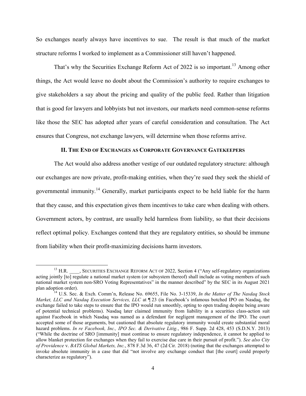So exchanges nearly always have incentives to sue. The result is that much of the market structure reforms I worked to implement as a Commissioner still haven't happened.

That's why the Securities Exchange Reform Act of 2022 is so important.<sup>13</sup> Among other things, the Act would leave no doubt about the Commission's authority to require exchanges to give stakeholders a say about the pricing and quality of the public feed. Rather than litigation that is good for lawyers and lobbyists but not investors, our markets need common-sense reforms like those the SEC has adopted after years of careful consideration and consultation. The Act ensures that Congress, not exchange lawyers, will determine when those reforms arrive.

## II. THE END OF EXCHANGES AS CORPORATE GOVERNANCE GATEKEEPERS

 The Act would also address another vestige of our outdated regulatory structure: although our exchanges are now private, profit-making entities, when they're sued they seek the shield of governmental immunity.<sup>14</sup> Generally, market participants expect to be held liable for the harm that they cause, and this expectation gives them incentives to take care when dealing with others. Government actors, by contrast, are usually held harmless from liability, so that their decisions reflect optimal policy. Exchanges contend that they are regulatory entities, so should be immune from liability when their profit-maximizing decisions harm investors.

<sup>&</sup>lt;sup>13</sup> H.R. SECURITIES EXCHANGE REFORM ACT OF 2022, Section 4 ("Any self-regulatory organizations") acting jointly [to] regulate a national market system (or subsystem thereof) shall include as voting members of such national market system non-SRO Voting Representatives" in the manner described" by the SEC in its August 2021 plan adoption order).

<sup>&</sup>lt;sup>14</sup> U.S. Sec. & Exch. Comm'n, Release No. 69655, File No. 3-15339, In the Matter of The Nasdaq Stock Market, LLC and Nasdaq Execution Services, LLC at  $\P$ 23 (in Facebook's infamous botched IPO on Nasdaq, the exchange failed to take steps to ensure that the IPO would run smoothly, opting to open trading despite being aware of potential technical problems). Nasdaq later claimed immunity from liability in a securities class-action suit against Facebook in which Nasdaq was named as a defendant for negligent management of the IPO. The court accepted some of those arguments, but cautioned that absolute regulatory immunity would create substantial moral hazard problems. In re Facebook, Inc., IPO Sec. & Derivative Litig., 986 F. Supp. 2d 428, 453 (S.D.N.Y. 2013) ("While the doctrine of SRO [immunity] must continue to ensure regulatory independence, it cannot be applied to allow blanket protection for exchanges when they fail to exercise due care in their pursuit of profit."). See also City of Providence v. BATS Global Markets, Inc., 878 F.3d 36, 47 (2d Cir. 2018) (noting that the exchanges attempted to invoke absolute immunity in a case that did "not involve any exchange conduct that [the court] could properly characterize as regulatory").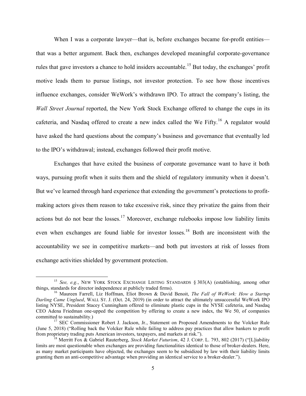When I was a corporate lawyer—that is, before exchanges became for-profit entities that was a better argument. Back then, exchanges developed meaningful corporate-governance rules that gave investors a chance to hold insiders accountable.<sup>15</sup> But today, the exchanges' profit motive leads them to pursue listings, not investor protection. To see how those incentives influence exchanges, consider WeWork's withdrawn IPO. To attract the company's listing, the Wall Street Journal reported, the New York Stock Exchange offered to change the cups in its cafeteria, and Nasdaq offered to create a new index called the We Fifty.<sup>16</sup> A regulator would have asked the hard questions about the company's business and governance that eventually led to the IPO's withdrawal; instead, exchanges followed their profit motive.

 Exchanges that have exited the business of corporate governance want to have it both ways, pursuing profit when it suits them and the shield of regulatory immunity when it doesn't. But we've learned through hard experience that extending the government's protections to profitmaking actors gives them reason to take excessive risk, since they privatize the gains from their actions but do not bear the losses.<sup>17</sup> Moreover, exchange rulebooks impose low liability limits even when exchanges are found liable for investor losses.<sup>18</sup> Both are inconsistent with the accountability we see in competitive markets—and both put investors at risk of losses from exchange activities shielded by government protection.

<sup>&</sup>lt;sup>15</sup> See, e.g., NEW YORK STOCK EXCHANGE LISTING STANDARDS  $\S$  303(A) (establishing, among other things, standards for director independence at publicly traded firms).

<sup>&</sup>lt;sup>16</sup> Maureen Farrell, Liz Hoffman, Eliot Brown & David Benoit, *The Fall of WeWork: How a Startup* Darling Came Unglued, WALL ST. J. (Oct. 24, 2019) (in order to attract the ultimately unsuccessful WeWork IPO listing NYSE, President Stacey Cunningham offered to eliminate plastic cups in the NYSE cafeteria, and Nasdaq CEO Adena Friedman one-upped the competition by offering to create a new index, the We 50, of companies committed to sustainability.)

<sup>&</sup>lt;sup>17</sup> SEC Commissioner Robert J. Jackson, Jr., Statement on Proposed Amendments to the Volcker Rule (June 5, 2018) ("Rolling back the Volcker Rule while failing to address pay practices that allow bankers to profit from proprietary trading puts American investors, taxpayers, and markets at risk.").

<sup>&</sup>lt;sup>18</sup> Merritt Fox & Gabriel Rauterberg, *Stock Market Futurism*, 42 J. CORP. L. 793, 802 (2017) ("[L]iability limits are most questionable when exchanges are providing functionalities identical to those of broker-dealers. Here, as many market participants have objected, the exchanges seem to be subsidized by law with their liability limits granting them an anti-competitive advantage when providing an identical service to a broker-dealer.").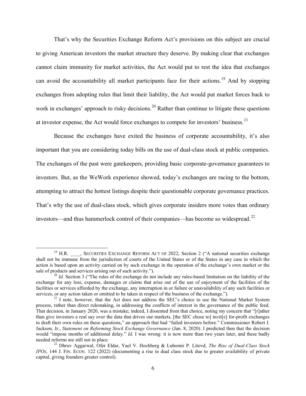That's why the Securities Exchange Reform Act's provisions on this subject are crucial to giving American investors the market structure they deserve. By making clear that exchanges cannot claim immunity for market activities, the Act would put to rest the idea that exchanges can avoid the accountability all market participants face for their actions.<sup>19</sup> And by stopping exchanges from adopting rules that limit their liability, the Act would put market forces back to work in exchanges' approach to risky decisions.<sup>20</sup> Rather than continue to litigate these questions at investor expense, the Act would force exchanges to compete for investors' business.<sup>21</sup>

 Because the exchanges have exited the business of corporate accountability, it's also important that you are considering today bills on the use of dual-class stock at public companies. The exchanges of the past were gatekeepers, providing basic corporate-governance guarantees to investors. But, as the WeWork experience showed, today's exchanges are racing to the bottom, attempting to attract the hottest listings despite their questionable corporate governance practices. That's why the use of dual-class stock, which gives corporate insiders more votes than ordinary investors—and thus hammerlock control of their companies—has become so widespread.<sup>22</sup>

<sup>&</sup>lt;sup>19</sup> H.R. , SECURITIES EXCHANGE REFORM ACT OF 2022, Section 2 ("A national securities exchange shall not be immune from the jurisdiction of courts of the United States or of the States in any case in which the action is based upon an activity carried on by such exchange in the operation of the exchange's own market or the sale of products and services arising out of such activity.").

<sup>&</sup>lt;sup>20</sup> Id. Section 3 ("The rules of the exchange do not include any rules-based limitation on the liability of the exchange for any loss, expense, damages or claims that arise out of the use of enjoyment of the facilities of the facilities or services afforded by the exchange, any interruption in or failure or unavailability of any such facilities or services, or any action taken or omitted to be taken in respect of the business of the exchange.").

<sup>&</sup>lt;sup>21</sup> I note, however, that the Act does not address the SEC's choice to use the National Market System process, rather than direct rulemaking, in addressing the conflicts of interest in the governance of the public feed. That decision, in January 2020, was a mistake; indeed, I dissented from that choice, noting my concern that "[r]ather than give investors a real say over the data that drives our markets, [the SEC chose to] invit[e] for-profit exchanges to draft their own rules on these questions," an approach that had "failed investors before." Commissioner Robert J. Jackson, Jr., Statement on Reforming Stock Exchange Governance (Jan. 8, 2020). I predicted then that the decision would "impose months of additional delay." *Id.* I was wrong: it is now more than two years later, and these badly needed reforms are still not in place.

<sup>&</sup>lt;sup>22</sup> Dhruv Aggarwal, Ofer Eldar, Yael V. Hochberg & Lubomir P. Litovd, *The Rise of Dual-Class Stock*  $IPOs$ , 144 J. FIN. ECON. 122 (2022) (documenting a rise in dual class stock due to greater availability of private capital, giving founders greater control).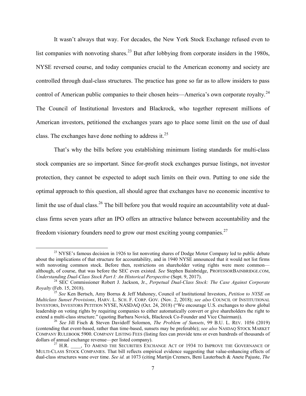It wasn't always that way. For decades, the New York Stock Exchange refused even to list companies with nonvoting shares.<sup>23</sup> But after lobbying from corporate insiders in the 1980s, NYSE reversed course, and today companies crucial to the American economy and society are controlled through dual-class structures. The practice has gone so far as to allow insiders to pass control of American public companies to their chosen heirs—America's own corporate royalty.<sup>24</sup> The Council of Institutional Investors and Blackrock, who together represent millions of American investors, petitioned the exchanges years ago to place some limit on the use of dual class. The exchanges have done nothing to address it.<sup>25</sup>

 That's why the bills before you establishing minimum listing standards for multi-class stock companies are so important. Since for-profit stock exchanges pursue listings, not investor protection, they cannot be expected to adopt such limits on their own. Putting to one side the optimal approach to this question, all should agree that exchanges have no economic incentive to limit the use of dual class.<sup>26</sup> The bill before you that would require an accountability vote at dualclass firms seven years after an IPO offers an attractive balance between accountability and the freedom visionary founders need to grow our most exciting young companies.<sup>27</sup>

<sup>&</sup>lt;sup>23</sup> NYSE's famous decision in 1926 to list nonvoting shares of Dodge Motor Company led to public debate about the implications of that structure for accountability, and in 1940 NYSE announced that it would not list firms with nonvoting common stock. Before then, restrictions on shareholder voting rights were more common although, of course, that was before the SEC even existed. See Stephen Bainbridge, PROFESSORBAINBRIDGE.COM, Understanding Dual-Class Stock Part I: An Historical Perspective (Sept. 9, 2017).

<sup>&</sup>lt;sup>24</sup> SEC Commissioner Robert J. Jackson, Jr., Perpetual Dual-Class Stock: The Case Against Corporate Royalty (Feb. 15, 2018).

<sup>&</sup>lt;sup>25</sup> See Ken Bertsch, Amy Borrus & Jeff Mahoney, Council of Institutional Investors, *Petition to NYSE on* Multiclass Sunset Provisions, HARV. L. SCH. F. CORP. GOV. (Nov. 2, 2018); see also COUNCIL OF INSTITUTIONAL INVESTORS, INVESTORS PETITION NYSE, NASDAQ (Oct. 24, 2018) ("We encourage U.S. exchanges to show global leadership on voting rights by requiring companies to either automatically convert or give shareholders the right to extend a multi-class structure." (quoting Barbara Novick, Blackrock Co-Founder and Vice Chairman)).

<sup>&</sup>lt;sup>26</sup> See Jill Fisch & Steven Davidoff Solomon, *The Problem of Sunsets*, 99 B.U. L. REV. 1056 (2019) (contending that event-based, rather than time-based, sunsets may be preferable); see also NASDAQ STOCK MARKET COMPANY RULEBOOK 5900. COMPANY LISTING FEES (listing fees can provide tens or even hundreds of thousands of dollars of annual exchange revenue—per listed company).

 $^{27}$  H.R.  $\qquad$ , TO AMEND THE SECURITIES EXCHANGE ACT OF 1934 TO IMPROVE THE GOVERNANCE OF MULTI-CLASS STOCK COMPANIES. That bill reflects empirical evidence suggesting that value-enhancing effects of dual-class structures wane over time. See id. at 1073 (citing Martijn Cremers, Beni Lauterbach & Anete Pajuste, The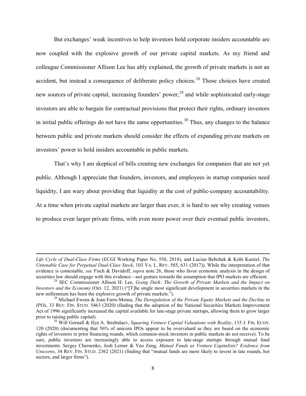But exchanges' weak incentives to help investors hold corporate insiders accountable are now coupled with the explosive growth of our private capital markets. As my friend and colleague Commissioner Allison Lee has ably explained, the growth of private markets is not an accident, but instead a consequence of deliberate policy choices.<sup>28</sup> Those choices have created new sources of private capital, increasing founders' power,<sup>29</sup> and while sophisticated early-stage investors are able to bargain for contractual provisions that protect their rights, ordinary investors in initial public offerings do not have the same opportunities.<sup>30</sup> Thus, any changes to the balance between public and private markets should consider the effects of expanding private markets on investors' power to hold insiders accountable in public markets.

That's why I am skeptical of bills creating new exchanges for companies that are not yet public. Although I appreciate that founders, investors, and employees in startup companies need liquidity, I am wary about providing that liquidity at the cost of public-company accountability. At a time when private capital markets are larger than ever, it is hard to see why creating venues to produce even larger private firms, with even more power over their eventual public investors,

Life Cycle of Dual-Class Firms (ECGI Working Paper No. 550, 2018), and Lucian Bebchuk & Kobi Kastiel, The Untenable Case for Perpetual Dual-Class Stock, 103 VA. L. REV. 585, 631 (2017)). While the interpretation of that evidence is contestable, see Fisch & Davidoff, supra note 26, those who favor economic analysis in the design of securities law should engage with this evidence—not gesture towards the assumption that IPO markets are efficient.

 $28$  SEC Commissioner Allison H. Lee, Going Dark: The Growth of Private Markets and the Impact on Investors and the Economy (Oct. 12, 2021) ("[T]he single most significant development in securities markets in the new millennium has been the explosive growth of private markets.").

 $^{29}$  Michael Ewens & Joan Farre-Mensa, The Deregulation of the Private Equity Markets and the Decline in IPOs, 33 REV. FIN. STUD. 5463 (2020) (finding that the adoption of the National Securities Markets Improvement Act of 1996 significantly increased the capital available for late-stage private startups, allowing them to grow larger prior to raising public capital).

 $30$  Will Gornall & Ilya A. Strebulaev, Squaring Venture Capital Valuations with Reality, 135 J. FIN. ECON. 120 (2020) (documenting that 56% of unicorn IPOs appear to be overvalued as they are based on the economic rights of investors in prior financing rounds, which common-stock investors in public markets do not receive). To be sure, public investors are increasingly able to access exposure to late-stage startups through mutual fund investments. Sergey Chernenko, Josh Lerner & Yao Zeng, Mutual Funds as Venture Capitalists? Evidence from Unicorns, 34 REV. FIN. STUD. 2362 (2021) (finding that "mutual funds are more likely to invest in late rounds, hot sectors, and larger firms").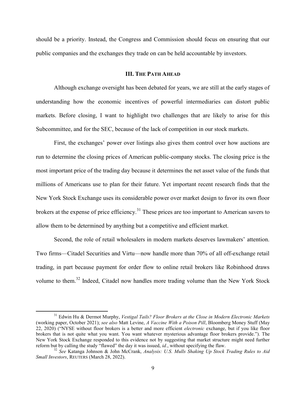should be a priority. Instead, the Congress and Commission should focus on ensuring that our public companies and the exchanges they trade on can be held accountable by investors.

## III. THE PATH AHEAD

 Although exchange oversight has been debated for years, we are still at the early stages of understanding how the economic incentives of powerful intermediaries can distort public markets. Before closing, I want to highlight two challenges that are likely to arise for this Subcommittee, and for the SEC, because of the lack of competition in our stock markets.

 First, the exchanges' power over listings also gives them control over how auctions are run to determine the closing prices of American public-company stocks. The closing price is the most important price of the trading day because it determines the net asset value of the funds that millions of Americans use to plan for their future. Yet important recent research finds that the New York Stock Exchange uses its considerable power over market design to favor its own floor brokers at the expense of price efficiency.<sup>31</sup> These prices are too important to American savers to allow them to be determined by anything but a competitive and efficient market.

 Second, the role of retail wholesalers in modern markets deserves lawmakers' attention. Two firms—Citadel Securities and Virtu—now handle more than 70% of all off-exchange retail trading, in part because payment for order flow to online retail brokers like Robinhood draws volume to them.<sup>32</sup> Indeed, Citadel now handles more trading volume than the New York Stock

<sup>&</sup>lt;sup>31</sup> Edwin Hu & Dermot Murphy, Vestigal Tails? Floor Brokers at the Close in Modern Electronic Markets (working paper, October 2021); see also Matt Levine, A Vaccine With a Poison Pill, Bloomberg Money Stuff (May 22, 2020) ("NYSE without floor brokers is a better and more efficient electronic exchange, but if you like floor brokers that is not quite what you want. You want whatever mysterious advantage floor brokers provide."). The New York Stock Exchange responded to this evidence not by suggesting that market structure might need further reform but by calling the study "flawed" the day it was issued,  $id$ , without specifying the flaw.

<sup>&</sup>lt;sup>32</sup> See Katanga Johnson & John McCrank, Analysis: U.S. Mulls Shaking Up Stock Trading Rules to Aid Small Investors, REUTERS (March 28, 2022).